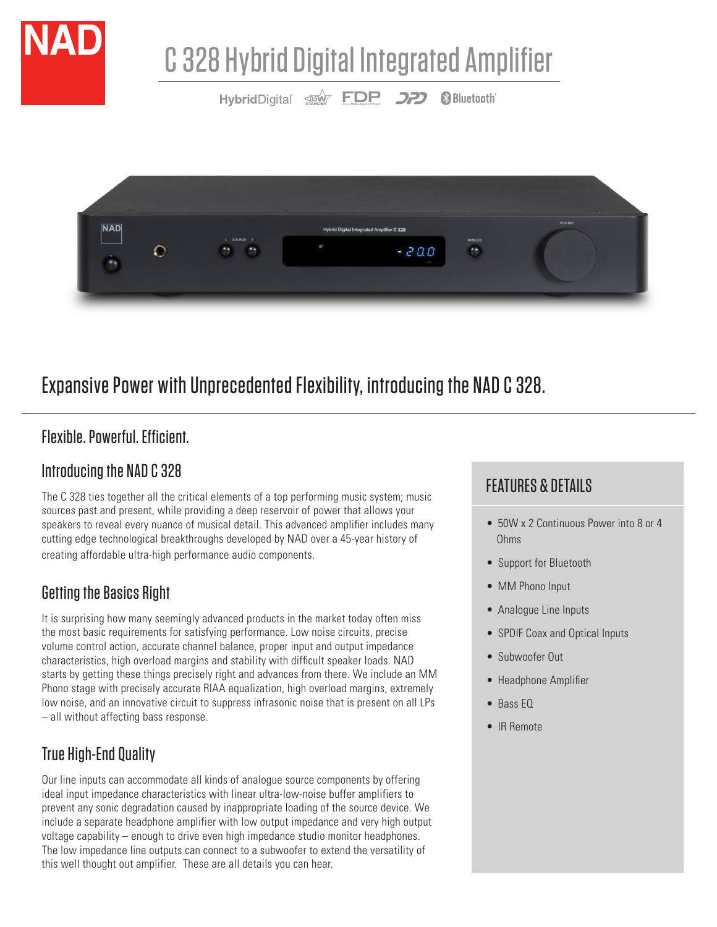



# Expansive Power with Unprecedented Flexibility, introducing the NAD C 328.

# Flexible. Powerful. Efficient.

#### Introducing the NAD C 328

The C 328 ties together all the critical elements of a top performing music system; music sources past and present, while providing a deep reservoir of power that allows your speakers to reveal every nuance of musical detail. This advanced amplifier includes many cutting edge technological breakthroughs developed by NAD over a 45-year history of creating affordable ultra-high performance audio components.

# Getting the Basics Right

It is surprising how many seemingly advanced products in the market today often miss the most basic requirements for satisfying performance. Low noise circuits, precise volume control action, accurate channel balance, proper input and output impedance characteristics, high overload margins and stability with difficult speaker loads. NAD starts by getting these things precisely right and advances from there. We include an MM Phono stage with precisely accurate RIAA equalization, high overload margins, extremely low noise, and an innovative circuit to suppress infrasonic noise that is present on all LPs – all without affecting bass response.

# True High-End Quality

Our line inputs can accommodate all kinds of analogue source components by offering ideal input impedance characteristics with linear ultra-low-noise buffer amplifiers to prevent any sonic degradation caused by inappropriate loading of the source device. We include a separate headphone amplifier with low output impedance and very high output voltage capability – enough to drive even high impedance studio monitor headphones. The low impedance line outputs can connect to a subwoofer to extend the versatility of this well thought out amplifier. These are all details you can hear.

# FEATURES & DETAILS

- 50W x 2 Continuous Power into 8 or 4 Ohms
- Support for Bluetooth
- MM Phono Input
- Analogue Line Inputs
- SPDIF Coax and Optical Inputs
- Subwoofer Out
- Headphone Amplifier
- Bass EQ
- IR Remote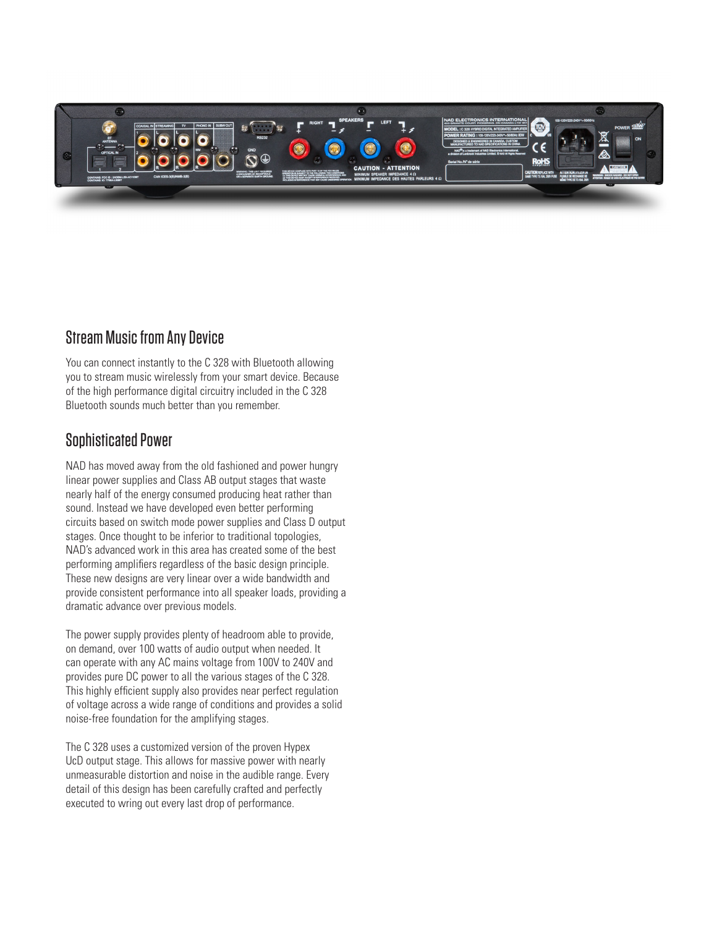

#### Stream Music from Any Device

You can connect instantly to the C 328 with Bluetooth allowing you to stream music wirelessly from your smart device. Because of the high performance digital circuitry included in the C 328 Bluetooth sounds much better than you remember.

#### Sophisticated Power

NAD has moved away from the old fashioned and power hungry linear power supplies and Class AB output stages that waste nearly half of the energy consumed producing heat rather than sound. Instead we have developed even better performing circuits based on switch mode power supplies and Class D output stages. Once thought to be inferior to traditional topologies, NAD's advanced work in this area has created some of the best performing amplifiers regardless of the basic design principle. These new designs are very linear over a wide bandwidth and provide consistent performance into all speaker loads, providing a dramatic advance over previous models.

The power supply provides plenty of headroom able to provide, on demand, over 100 watts of audio output when needed. It can operate with any AC mains voltage from 100V to 240V and provides pure DC power to all the various stages of the C 328. This highly efficient supply also provides near perfect regulation of voltage across a wide range of conditions and provides a solid noise-free foundation for the amplifying stages.

The C 328 uses a customized version of the proven Hypex UcD output stage. This allows for massive power with nearly unmeasurable distortion and noise in the audible range. Every detail of this design has been carefully crafted and perfectly executed to wring out every last drop of performance.